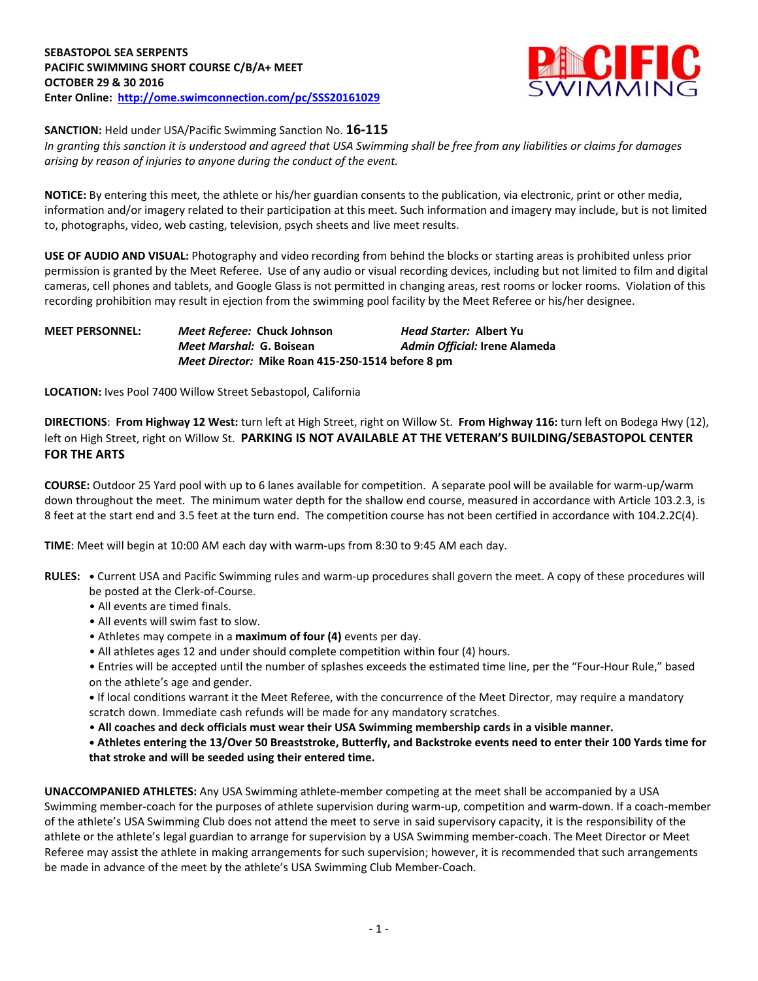

**SANCTION:** Held under USA/Pacific Swimming Sanction No. **16-115**

*In granting this sanction it is understood and agreed that USA Swimming shall be free from any liabilities or claims for damages arising by reason of injuries to anyone during the conduct of the event.*

**NOTICE:** By entering this meet, the athlete or his/her guardian consents to the publication, via electronic, print or other media, information and/or imagery related to their participation at this meet. Such information and imagery may include, but is not limited to, photographs, video, web casting, television, psych sheets and live meet results.

**USE OF AUDIO AND VISUAL:** Photography and video recording from behind the blocks or starting areas is prohibited unless prior permission is granted by the Meet Referee. Use of any audio or visual recording devices, including but not limited to film and digital cameras, cell phones and tablets, and Google Glass is not permitted in changing areas, rest rooms or locker rooms. Violation of this recording prohibition may result in ejection from the swimming pool facility by the Meet Referee or his/her designee.

## **MEET PERSONNEL:** *Meet Referee:* **Chuck Johnson** *Head Starter:* **Albert Yu** *Meet Marshal:* **G. Boisean** *Admin Official:* **Irene Alameda** *Meet Director:* **Mike Roan 415-250-1514 before 8 pm**

**LOCATION:** Ives Pool 7400 Willow Street Sebastopol, California

**DIRECTIONS**: **From Highway 12 West:** turn left at High Street, right on Willow St. **From Highway 116:** turn left on Bodega Hwy (12), left on High Street, right on Willow St. **PARKING IS NOT AVAILABLE AT THE VETERAN'S BUILDING/SEBASTOPOL CENTER FOR THE ARTS**

**COURSE:** Outdoor 25 Yard pool with up to 6 lanes available for competition. A separate pool will be available for warm-up/warm down throughout the meet. The minimum water depth for the shallow end course, measured in accordance with Article 103.2.3, is 8 feet at the start end and 3.5 feet at the turn end. The competition course has not been certified in accordance with 104.2.2C(4).

**TIME**: Meet will begin at 10:00 AM each day with warm-ups from 8:30 to 9:45 AM each day.

- **RULES: •** Current USA and Pacific Swimming rules and warm-up procedures shall govern the meet. A copy of these procedures will be posted at the Clerk-of-Course.
	- All events are timed finals.
	- All events will swim fast to slow.
	- Athletes may compete in a **maximum of four (4)** events per day.
	- All athletes ages 12 and under should complete competition within four (4) hours.
	- Entries will be accepted until the number of splashes exceeds the estimated time line, per the "Four-Hour Rule," based on the athlete's age and gender.

**•** If local conditions warrant it the Meet Referee, with the concurrence of the Meet Director, may require a mandatory scratch down. Immediate cash refunds will be made for any mandatory scratches.

• **All coaches and deck officials must wear their USA Swimming membership cards in a visible manner.** 

**• Athletes entering the 13/Over 50 Breaststroke, Butterfly, and Backstroke events need to enter their 100 Yards time for that stroke and will be seeded using their entered time.**

**UNACCOMPANIED ATHLETES:** Any USA Swimming athlete-member competing at the meet shall be accompanied by a USA Swimming member-coach for the purposes of athlete supervision during warm-up, competition and warm-down. If a coach-member of the athlete's USA Swimming Club does not attend the meet to serve in said supervisory capacity, it is the responsibility of the athlete or the athlete's legal guardian to arrange for supervision by a USA Swimming member-coach. The Meet Director or Meet Referee may assist the athlete in making arrangements for such supervision; however, it is recommended that such arrangements be made in advance of the meet by the athlete's USA Swimming Club Member-Coach.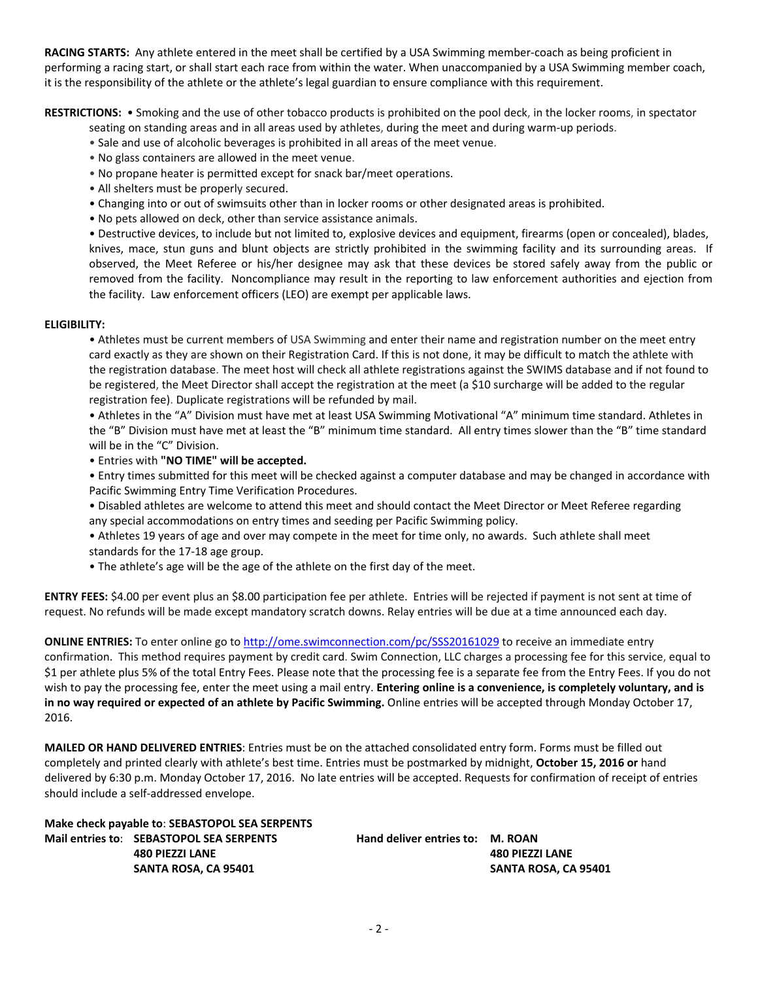**RACING STARTS:** Any athlete entered in the meet shall be certified by a USA Swimming member-coach as being proficient in performing a racing start, or shall start each race from within the water. When unaccompanied by a USA Swimming member coach, it is the responsibility of the athlete or the athlete's legal guardian to ensure compliance with this requirement.

**RESTRICTIONS:** • Smoking and the use of other tobacco products is prohibited on the pool deck, in the locker rooms, in spectator

- seating on standing areas and in all areas used by athletes, during the meet and during warm-up periods.
- Sale and use of alcoholic beverages is prohibited in all areas of the meet venue.
- No glass containers are allowed in the meet venue.
- No propane heater is permitted except for snack bar/meet operations.
- All shelters must be properly secured.
- Changing into or out of swimsuits other than in locker rooms or other designated areas is prohibited.
- No pets allowed on deck, other than service assistance animals.

• Destructive devices, to include but not limited to, explosive devices and equipment, firearms (open or concealed), blades, knives, mace, stun guns and blunt objects are strictly prohibited in the swimming facility and its surrounding areas. If observed, the Meet Referee or his/her designee may ask that these devices be stored safely away from the public or removed from the facility. Noncompliance may result in the reporting to law enforcement authorities and ejection from the facility. Law enforcement officers (LEO) are exempt per applicable laws.

## **ELIGIBILITY:**

• Athletes must be current members of USA Swimming and enter their name and registration number on the meet entry card exactly as they are shown on their Registration Card. If this is not done, it may be difficult to match the athlete with the registration database. The meet host will check all athlete registrations against the SWIMS database and if not found to be registered, the Meet Director shall accept the registration at the meet (a \$10 surcharge will be added to the regular registration fee). Duplicate registrations will be refunded by mail.

• Athletes in the "A" Division must have met at least USA Swimming Motivational "A" minimum time standard. Athletes in the "B" Division must have met at least the "B" minimum time standard. All entry times slower than the "B" time standard will be in the "C" Division.

• Entries with **"NO TIME" will be accepted.**

• Entry times submitted for this meet will be checked against a computer database and may be changed in accordance with Pacific Swimming Entry Time Verification Procedures.

• Disabled athletes are welcome to attend this meet and should contact the Meet Director or Meet Referee regarding any special accommodations on entry times and seeding per Pacific Swimming policy.

• Athletes 19 years of age and over may compete in the meet for time only, no awards. Such athlete shall meet standards for the 17-18 age group.

• The athlete's age will be the age of the athlete on the first day of the meet.

**ENTRY FEES:** \$4.00 per event plus an \$8.00 participation fee per athlete. Entries will be rejected if payment is not sent at time of request. No refunds will be made except mandatory scratch downs. Relay entries will be due at a time announced each day.

**ONLINE ENTRIES:** To enter online go t[o http://ome.swimconnection.com/pc/SSS20161029](http://ome.swimconnection.com/pc/SSS20161029) to receive an immediate entry confirmation. This method requires payment by credit card. Swim Connection, LLC charges a processing fee for this service, equal to \$1 per athlete plus 5% of the total Entry Fees. Please note that the processing fee is a separate fee from the Entry Fees. If you do not wish to pay the processing fee, enter the meet using a mail entry. **Entering online is a convenience, is completely voluntary, and is in no way required or expected of an athlete by Pacific Swimming.** Online entries will be accepted through Monday October 17, 2016.

**MAILED OR HAND DELIVERED ENTRIES**: Entries must be on the attached consolidated entry form. Forms must be filled out completely and printed clearly with athlete's best time. Entries must be postmarked by midnight, **October 15, 2016 or** hand delivered by 6:30 p.m. Monday October 17, 2016. No late entries will be accepted. Requests for confirmation of receipt of entries should include a self-addressed envelope.

**Make check payable to**: **SEBASTOPOL SEA SERPENTS Mail entries to**: **SEBASTOPOL SEA SERPENTS Hand deliver entries to: M. ROAN**

 **480 PIEZZI LANE 480 PIEZZI LANE SANTA ROSA, CA 95401 SANTA ROSA, CA 95401**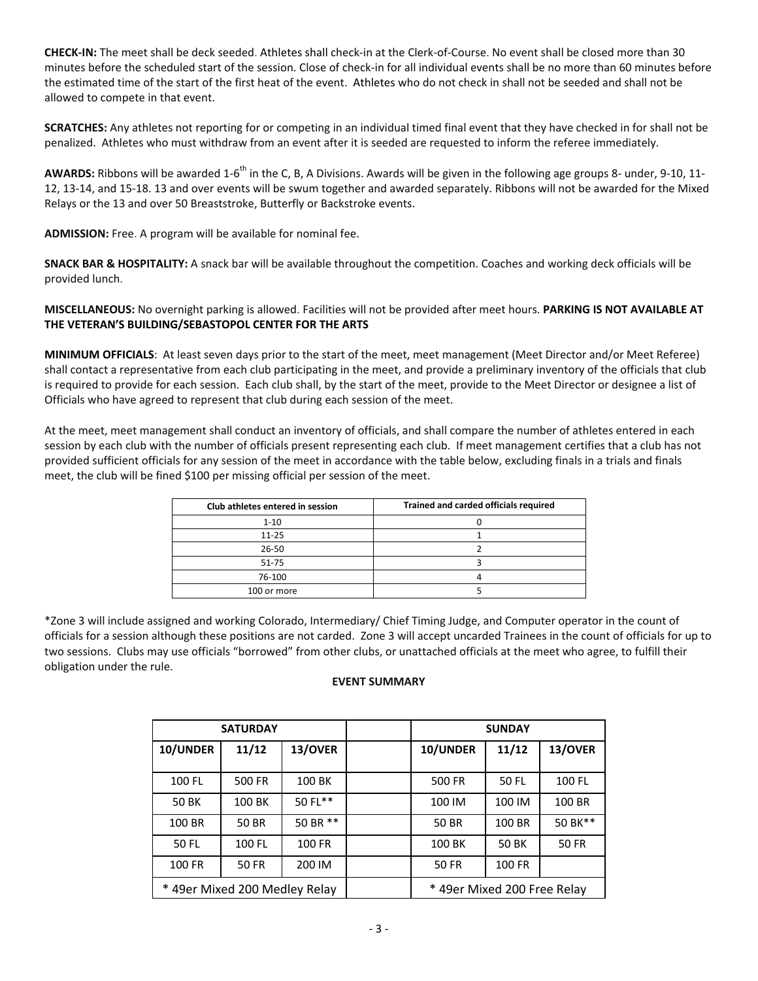**CHECK-IN:** The meet shall be deck seeded. Athletes shall check-in at the Clerk-of-Course. No event shall be closed more than 30 minutes before the scheduled start of the session. Close of check-in for all individual events shall be no more than 60 minutes before the estimated time of the start of the first heat of the event. Athletes who do not check in shall not be seeded and shall not be allowed to compete in that event.

**SCRATCHES:** Any athletes not reporting for or competing in an individual timed final event that they have checked in for shall not be penalized. Athletes who must withdraw from an event after it is seeded are requested to inform the referee immediately.

**AWARDS:** Ribbons will be awarded 1-6<sup>th</sup> in the C, B, A Divisions. Awards will be given in the following age groups 8- under, 9-10, 11-12, 13-14, and 15-18. 13 and over events will be swum together and awarded separately. Ribbons will not be awarded for the Mixed Relays or the 13 and over 50 Breaststroke, Butterfly or Backstroke events.

**ADMISSION:** Free. A program will be available for nominal fee.

**SNACK BAR & HOSPITALITY:** A snack bar will be available throughout the competition. Coaches and working deck officials will be provided lunch.

**MISCELLANEOUS:** No overnight parking is allowed. Facilities will not be provided after meet hours. **PARKING IS NOT AVAILABLE AT THE VETERAN'S BUILDING/SEBASTOPOL CENTER FOR THE ARTS**

**MINIMUM OFFICIALS**: At least seven days prior to the start of the meet, meet management (Meet Director and/or Meet Referee) shall contact a representative from each club participating in the meet, and provide a preliminary inventory of the officials that club is required to provide for each session. Each club shall, by the start of the meet, provide to the Meet Director or designee a list of Officials who have agreed to represent that club during each session of the meet.

At the meet, meet management shall conduct an inventory of officials, and shall compare the number of athletes entered in each session by each club with the number of officials present representing each club. If meet management certifies that a club has not provided sufficient officials for any session of the meet in accordance with the table below, excluding finals in a trials and finals meet, the club will be fined \$100 per missing official per session of the meet.

| Club athletes entered in session | Trained and carded officials required |
|----------------------------------|---------------------------------------|
| $1 - 10$                         |                                       |
| $11 - 25$                        |                                       |
| $26 - 50$                        |                                       |
| $51 - 75$                        |                                       |
| 76-100                           |                                       |
| 100 or more                      |                                       |

\*Zone 3 will include assigned and working Colorado, Intermediary/ Chief Timing Judge, and Computer operator in the count of officials for a session although these positions are not carded. Zone 3 will accept uncarded Trainees in the count of officials for up to two sessions. Clubs may use officials "borrowed" from other clubs, or unattached officials at the meet who agree, to fulfill their obligation under the rule.

## **EVENT SUMMARY**

|              | <b>SATURDAY</b>               |          | <b>SUNDAY</b>               |        |              |  |  |  |
|--------------|-------------------------------|----------|-----------------------------|--------|--------------|--|--|--|
| 10/UNDER     | 11/12                         | 13/OVER  | 10/UNDER                    | 11/12  | 13/OVER      |  |  |  |
| 100 FL       | <b>500 FR</b>                 | 100 BK   | 500 FR                      | 50 FL  | 100 FL       |  |  |  |
| <b>50 BK</b> | 100 BK                        | 50 FL**  | 100 IM                      | 100 IM | 100 BR       |  |  |  |
| 100 BR       | <b>50 BR</b>                  | 50 BR ** | 50 BR                       | 100 BR | 50 BK**      |  |  |  |
| 50 FL        | 100 FL                        | 100 FR   | 100 BK                      | 50 BK  | <b>50 FR</b> |  |  |  |
| 100 FR       | 50 FR                         | 200 IM   | 50 FR                       | 100 FR |              |  |  |  |
|              | * 49er Mixed 200 Medley Relay |          | * 49er Mixed 200 Free Relay |        |              |  |  |  |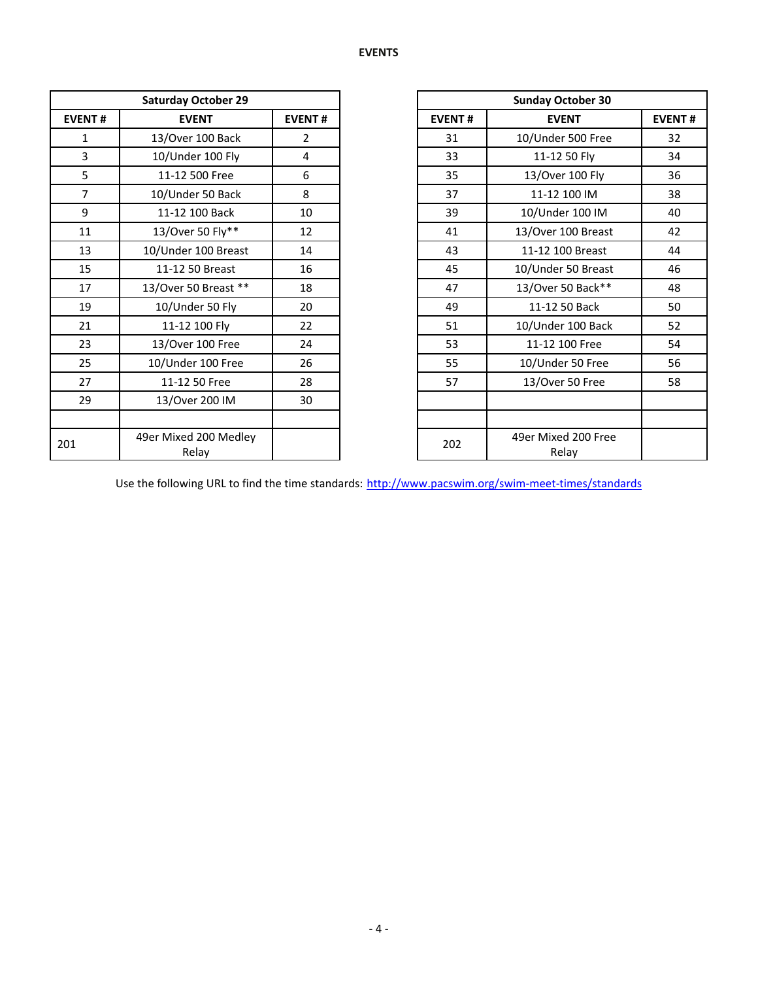|                | <b>Saturday October 29</b>     |                | <b>Sunday October 30</b> |                             |
|----------------|--------------------------------|----------------|--------------------------|-----------------------------|
| <b>EVENT#</b>  | <b>EVENT</b>                   | <b>EVENT#</b>  | <b>EVENT#</b>            | <b>EVENT</b>                |
| 1              | 13/Over 100 Back               | $\overline{2}$ | 31                       | 10/Under 500 Free           |
| 3              | 10/Under 100 Fly               | 4              | 33                       | 11-12 50 Fly                |
| 5              | 11-12 500 Free                 | 6              | 35                       | 13/Over 100 Fly             |
| $\overline{7}$ | 10/Under 50 Back               | 8              | 37                       | 11-12 100 IM                |
| 9              | 11-12 100 Back                 | 10             | 39                       | 10/Under 100 IM             |
| 11             | 13/Over 50 Fly**               | 12             | 41                       | 13/Over 100 Breast          |
| 13             | 10/Under 100 Breast            | 14             | 43                       | 11-12 100 Breast            |
| 15             | 11-12 50 Breast                | 16             | 45                       | 10/Under 50 Breas           |
| 17             | 13/Over 50 Breast **           | 18             | 47                       | 13/Over 50 Back**           |
| 19             | 10/Under 50 Fly                | 20             | 49                       | 11-12 50 Back               |
| 21             | 11-12 100 Fly                  | 22             | 51                       | 10/Under 100 Back           |
| 23             | 13/Over 100 Free               | 24             | 53                       | 11-12 100 Free              |
| 25             | 10/Under 100 Free              | 26             | 55                       | 10/Under 50 Free            |
| 27             | 11-12 50 Free                  | 28             | 57                       | 13/Over 50 Free             |
| 29             | 13/Over 200 IM                 | 30             |                          |                             |
|                |                                |                |                          |                             |
| 201            | 49er Mixed 200 Medley<br>Relay |                | 202                      | 49er Mixed 200 Fre<br>Relay |

| <b>Saturday October 29</b> |                                |                |  |
|----------------------------|--------------------------------|----------------|--|
| <b>EVENT#</b>              | <b>EVENT</b>                   | <b>EVENT#</b>  |  |
| $\mathbf{1}$               | 13/Over 100 Back               | $\overline{2}$ |  |
| $\overline{3}$             | 10/Under 100 Fly               | 4              |  |
| 5                          | 11-12 500 Free                 | 6              |  |
| $\overline{7}$             | 10/Under 50 Back               | 8              |  |
| 9                          | 11-12 100 Back                 | 10             |  |
| 11                         | 13/Over 50 Fly**               | 12             |  |
| 13                         | 10/Under 100 Breast            | 14             |  |
| 15                         | 11-12 50 Breast                | 16             |  |
| 17                         | 13/Over 50 Breast **           | 18             |  |
| 19                         | 10/Under 50 Fly                | 20             |  |
| 21                         | 11-12 100 Fly                  | 22             |  |
| 23                         | 13/Over 100 Free               | 24             |  |
| 25                         | 10/Under 100 Free              | 26             |  |
| 27                         | 11-12 50 Free                  | 28             |  |
| 29                         | 13/Over 200 IM                 | 30             |  |
|                            |                                |                |  |
| 01                         | 49er Mixed 200 Medley<br>Relay |                |  |

Use the following URL to find the time standards: <http://www.pacswim.org/swim-meet-times/standards>